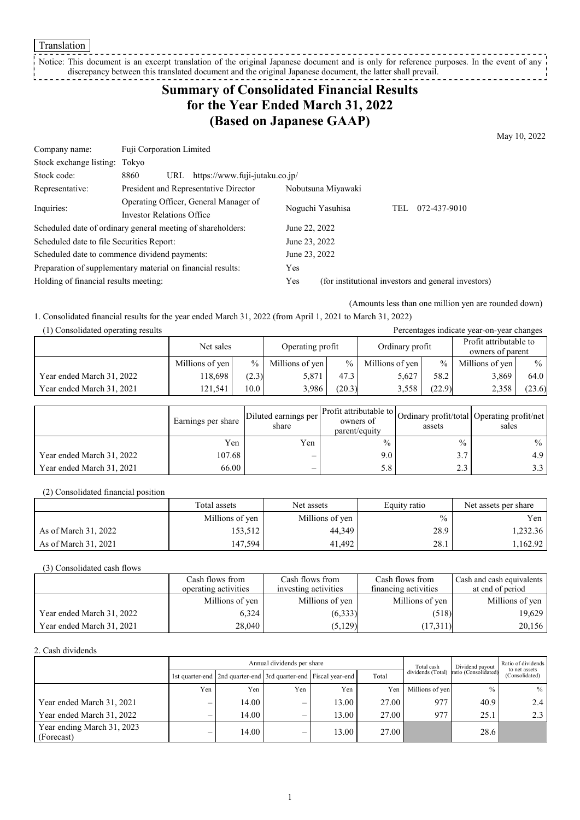**Translation** 

#### Notice: This document is an excerpt translation of the original Japanese document and is only for reference purposes. In the event of any discrepancy between this translated document and the original Japanese document, the latter shall prevail. J

## **Summary of Consolidated Financial Results for the Year Ended March 31, 2022 (Based on Japanese GAAP)**

May 10, 2022

| Fuji Corporation Limited                                    |               |                                              |                                                    |                                                            |
|-------------------------------------------------------------|---------------|----------------------------------------------|----------------------------------------------------|------------------------------------------------------------|
| Stock exchange listing: Tokyo                               |               |                                              |                                                    |                                                            |
| 8860<br>URL                                                 |               |                                              |                                                    |                                                            |
| President and Representative Director<br>Nobutsuna Miyawaki |               |                                              |                                                    |                                                            |
| Operating Officer, General Manager of                       |               |                                              |                                                    | 072-437-9010                                               |
| Investor Relations Office                                   |               |                                              |                                                    |                                                            |
| Scheduled date of ordinary general meeting of shareholders: |               |                                              |                                                    |                                                            |
| Scheduled date to file Securities Report:                   | June 23, 2022 |                                              |                                                    |                                                            |
| Scheduled date to commence dividend payments:               |               |                                              |                                                    |                                                            |
| Preparation of supplementary material on financial results: |               |                                              |                                                    |                                                            |
| Holding of financial results meeting:                       |               |                                              |                                                    |                                                            |
|                                                             |               | https://www.fuji-jutaku.co.jp/<br>Yes<br>Yes | Noguchi Yasuhisa<br>June 22, 2022<br>June 23, 2022 | TEL<br>(for institutional investors and general investors) |

(Amounts less than one million yen are rounded down)

1. Consolidated financial results for the year ended March 31, 2022 (from April 1, 2021 to March 31, 2022)

| (1) Consolidated operating results<br>Percentages indicate year-on-year changes |                 |                   |                  |        |                 |        |                                            |               |
|---------------------------------------------------------------------------------|-----------------|-------------------|------------------|--------|-----------------|--------|--------------------------------------------|---------------|
|                                                                                 | Net sales       |                   | Operating profit |        | Ordinary profit |        | Profit attributable to<br>owners of parent |               |
|                                                                                 | Millions of yen | $\%$ 1            | Millions of yen  | $\%$   | Millions of yen | $\%$   | Millions of yen                            | $\frac{0}{0}$ |
| Year ended March 31, 2022                                                       | 118,698         | (2.3)             | 5.871            | 47.3   | 5,627           | 58.2   | 3,869                                      | 64.0          |
| Year ended March 31, 2021                                                       | 121.541         | 10.0 <sub>1</sub> | 3.986            | (20.3) | 3,558           | (22.9) | 2,358                                      | (23.6)        |

|                           | Earnings per share | Diluted earnings per<br>share | parent/equity | assets        | ner Profit attributable to Ordinary profit/total Operating profit/net<br>sales |
|---------------------------|--------------------|-------------------------------|---------------|---------------|--------------------------------------------------------------------------------|
|                           | Yen                | Yen                           | $\frac{0}{0}$ | $\frac{0}{0}$ | $\%$ 1                                                                         |
| Year ended March 31, 2022 | 107.68             | $\overline{\phantom{0}}$      | 9.0           | 3.7           | 4.9 <sup>1</sup>                                                               |
| Year ended March 31, 2021 | 66.00              | $\overline{\phantom{0}}$      | 5.8           | 2.3           | 3.3 I                                                                          |

(2) Consolidated financial position

|                      | Total assets    | Net assets      | Equity ratio | Net assets per share |
|----------------------|-----------------|-----------------|--------------|----------------------|
|                      | Millions of yen | Millions of yen | $\%$         | Yen                  |
| As of March 31, 2022 | 153,512         | 44,349          | 28.9         | 1,232.36             |
| As of March 31, 2021 | 147.594         | 41.492          | 28.1         | 1.162.92             |

(3) Consolidated cash flows

|                           | Cash flows from      | Cash flows from      | Cash flows from      | Cash and cash equivalents |
|---------------------------|----------------------|----------------------|----------------------|---------------------------|
|                           | operating activities | investing activities | financing activities | at end of period          |
|                           | Millions of yen      | Millions of yen      | Millions of yen      | Millions of yen           |
| Year ended March 31, 2022 | 6.324                | (6,333)              | (518)                | 19,629                    |
| Year ended March 31, 2021 | 28,040               | (5,129)              | (17,311)             | 20,156                    |

2. Cash dividends

|                                          | Annual dividends per share |                                                                       |                          |       |       |                 | Dividend payout                        | Ratio of dividends<br>to net assets |
|------------------------------------------|----------------------------|-----------------------------------------------------------------------|--------------------------|-------|-------|-----------------|----------------------------------------|-------------------------------------|
|                                          |                            | 1st quarter-end   2nd quarter-end   3rd quarter-end   Fiscal year-end |                          |       | Total |                 | dividends (Total) ratio (Consolidated) | (Consolidated)                      |
|                                          | Yen                        | Yen                                                                   | Yen                      | Yen   | Yen   | Millions of yen | $\frac{0}{0}$                          | $\%$                                |
| Year ended March 31, 2021                | –                          | 14.00                                                                 | –                        | 13.00 | 27.00 | 977             | 40.9                                   | 2.4                                 |
| Year ended March 31, 2022                | $\overline{\phantom{0}}$   | 14.00                                                                 | $\overline{\phantom{0}}$ | 13.00 | 27.00 | 977             | 25.1                                   | 2.3                                 |
| Year ending March 31, 2023<br>(Forecast) | $\overline{\phantom{0}}$   | 14.00                                                                 | –                        | 13.00 | 27.00 |                 | 28.6                                   |                                     |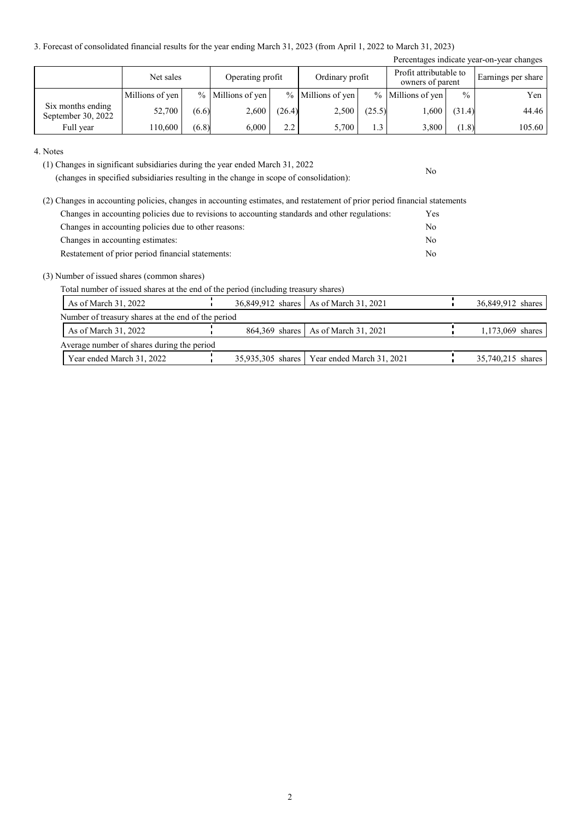3. Forecast of consolidated financial results for the year ending March 31, 2023 (from April 1, 2022 to March 31, 2023)

| Percentages indicate year-on-year changes |                 |       |                     |        |                   |        |                                            |               |                    |
|-------------------------------------------|-----------------|-------|---------------------|--------|-------------------|--------|--------------------------------------------|---------------|--------------------|
|                                           | Net sales       |       | Operating profit    |        | Ordinary profit   |        | Profit attributable to<br>owners of parent |               | Earnings per share |
|                                           | Millions of yen |       | $%$ Millions of yen |        | % Millions of yen |        | $%$ Millions of yen                        | $\frac{0}{0}$ | Yen                |
| Six months ending<br>September 30, 2022   | 52,700          | (6.6) | 2,600               | (26.4) | 2,500             | (25.5) | 1,600                                      | (31.4)        | 44.46              |
| Full year                                 | 110,600         | (6.8) | 6,000               | 2.2    | 5,700             | 1.3    | 3,800                                      | (1.8)         | 105.60             |

No

#### 4. Notes

(1) Changes in significant subsidiaries during the year ended March 31, 2022

(changes in specified subsidiaries resulting in the change in scope of consolidation):

| (2) Changes in accounting policies, changes in accounting estimates, and restatement of prior period financial statements |            |
|---------------------------------------------------------------------------------------------------------------------------|------------|
| Changes in accounting policies due to revisions to accounting standards and other regulations:                            | <b>Yes</b> |
| Changes in accounting policies due to other reasons:                                                                      | No         |
| Changes in accounting estimates:                                                                                          | No         |
| Restatement of prior period financial statements:                                                                         | No         |

(3) Number of issued shares (common shares)

Total number of issued shares at the end of the period (including treasury shares)

| As of March 31, 2022                               |  | 36,849,912 shares   As of March 31, 2021      | 36,849,912 shares |
|----------------------------------------------------|--|-----------------------------------------------|-------------------|
| Number of treasury shares at the end of the period |  |                                               |                   |
| As of March $31, 2022$                             |  | 864,369 shares   As of March 31, 2021         | 1,173,069 shares  |
| Average number of shares during the period         |  |                                               |                   |
| Year ended March 31, 2022                          |  | 35,935,305 shares   Year ended March 31, 2021 | 35,740,215 shares |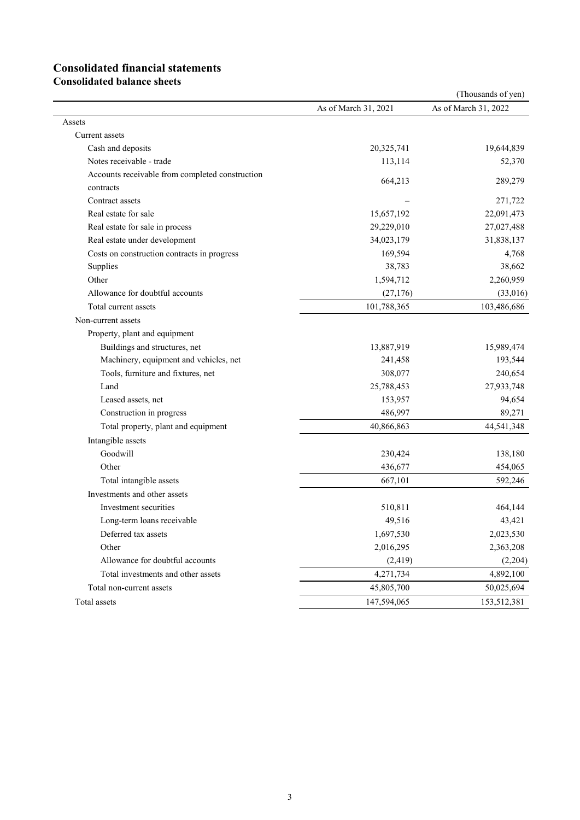# **Consolidated financial statements**

**Consolidated balance sheets**

|                                                 |                      | (Thousands of yen)   |
|-------------------------------------------------|----------------------|----------------------|
|                                                 | As of March 31, 2021 | As of March 31, 2022 |
| Assets                                          |                      |                      |
| Current assets                                  |                      |                      |
| Cash and deposits                               | 20,325,741           | 19,644,839           |
| Notes receivable - trade                        | 113,114              | 52,370               |
| Accounts receivable from completed construction |                      | 289,279              |
| contracts                                       | 664,213              |                      |
| Contract assets                                 |                      | 271,722              |
| Real estate for sale                            | 15,657,192           | 22,091,473           |
| Real estate for sale in process                 | 29,229,010           | 27,027,488           |
| Real estate under development                   | 34,023,179           | 31,838,137           |
| Costs on construction contracts in progress     | 169,594              | 4,768                |
| Supplies                                        | 38,783               | 38,662               |
| Other                                           | 1,594,712            | 2,260,959            |
| Allowance for doubtful accounts                 | (27, 176)            | (33,016)             |
| Total current assets                            | 101,788,365          | 103,486,686          |
| Non-current assets                              |                      |                      |
| Property, plant and equipment                   |                      |                      |
| Buildings and structures, net                   | 13,887,919           | 15,989,474           |
| Machinery, equipment and vehicles, net          | 241,458              | 193,544              |
| Tools, furniture and fixtures, net              | 308,077              | 240,654              |
| Land                                            | 25,788,453           | 27,933,748           |
| Leased assets, net                              | 153,957              | 94,654               |
| Construction in progress                        | 486,997              | 89,271               |
| Total property, plant and equipment             | 40,866,863           | 44,541,348           |
| Intangible assets                               |                      |                      |
| Goodwill                                        | 230,424              | 138,180              |
| Other                                           | 436,677              | 454,065              |
| Total intangible assets                         | 667,101              | 592,246              |
| Investments and other assets                    |                      |                      |
| Investment securities                           | 510,811              | 464,144              |
| Long-term loans receivable                      | 49,516               | 43,421               |
| Deferred tax assets                             | 1,697,530            | 2,023,530            |
| Other                                           | 2,016,295            | 2,363,208            |
| Allowance for doubtful accounts                 | (2, 419)             | (2,204)              |
| Total investments and other assets              | 4,271,734            | 4,892,100            |
| Total non-current assets                        | 45,805,700           | 50,025,694           |
| Total assets                                    | 147,594,065          | 153,512,381          |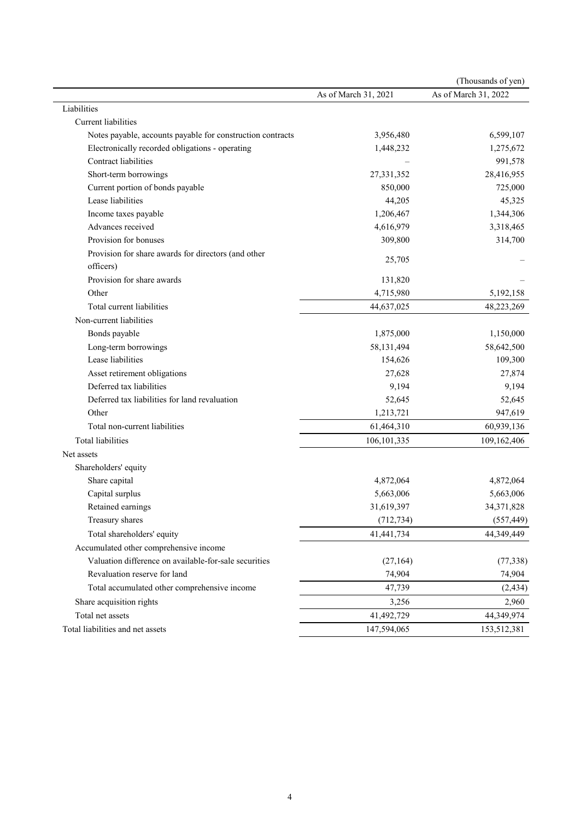|                                                            |                      | (Thousands of yen)   |
|------------------------------------------------------------|----------------------|----------------------|
|                                                            | As of March 31, 2021 | As of March 31, 2022 |
| Liabilities                                                |                      |                      |
| Current liabilities                                        |                      |                      |
| Notes payable, accounts payable for construction contracts | 3,956,480            | 6,599,107            |
| Electronically recorded obligations - operating            | 1,448,232            | 1,275,672            |
| Contract liabilities                                       |                      | 991,578              |
| Short-term borrowings                                      | 27,331,352           | 28,416,955           |
| Current portion of bonds payable                           | 850,000              | 725,000              |
| Lease liabilities                                          | 44,205               | 45,325               |
| Income taxes payable                                       | 1,206,467            | 1,344,306            |
| Advances received                                          | 4,616,979            | 3,318,465            |
| Provision for bonuses                                      | 309,800              | 314,700              |
| Provision for share awards for directors (and other        | 25,705               |                      |
| officers)                                                  |                      |                      |
| Provision for share awards                                 | 131,820              |                      |
| Other                                                      | 4,715,980            | 5,192,158            |
| Total current liabilities                                  | 44,637,025           | 48,223,269           |
| Non-current liabilities                                    |                      |                      |
| Bonds payable                                              | 1,875,000            | 1,150,000            |
| Long-term borrowings                                       | 58,131,494           | 58,642,500           |
| Lease liabilities                                          | 154,626              | 109,300              |
| Asset retirement obligations                               | 27,628               | 27,874               |
| Deferred tax liabilities                                   | 9,194                | 9,194                |
| Deferred tax liabilities for land revaluation              | 52,645               | 52,645               |
| Other                                                      | 1,213,721            | 947,619              |
| Total non-current liabilities                              | 61,464,310           | 60,939,136           |
| Total liabilities                                          | 106, 101, 335        | 109,162,406          |
| Net assets                                                 |                      |                      |
| Shareholders' equity                                       |                      |                      |
| Share capital                                              | 4,872,064            | 4,872,064            |
| Capital surplus                                            | 5,663,006            | 5,663,006            |
| Retained earnings                                          | 31,619,397           | 34,371,828           |
| Treasury shares                                            | (712, 734)           | (557, 449)           |
| Total shareholders' equity                                 | 41,441,734           | 44,349,449           |
| Accumulated other comprehensive income                     |                      |                      |
| Valuation difference on available-for-sale securities      | (27, 164)            | (77, 338)            |
| Revaluation reserve for land                               | 74,904               | 74,904               |
| Total accumulated other comprehensive income               | 47,739               | (2, 434)             |
| Share acquisition rights                                   | 3,256                | 2,960                |
| Total net assets                                           | 41,492,729           | 44,349,974           |
| Total liabilities and net assets                           | 147,594,065          | 153,512,381          |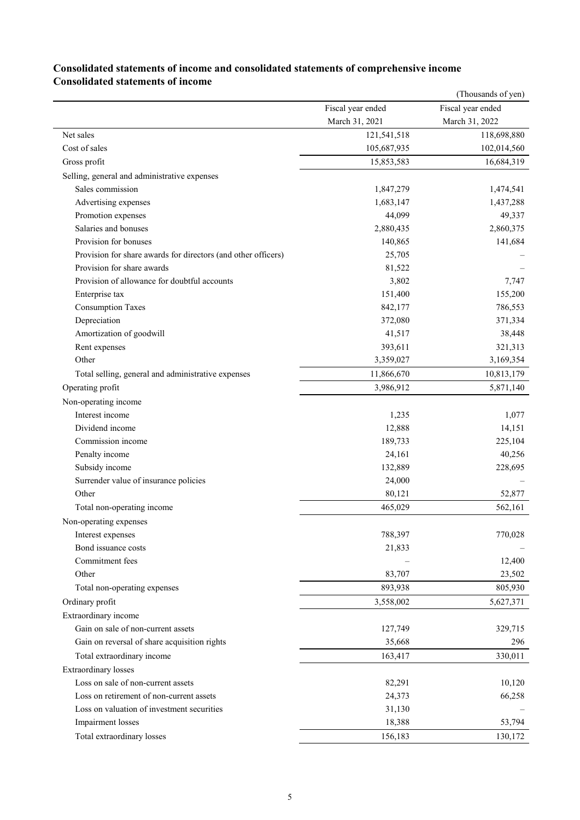### **Consolidated statements of income and consolidated statements of comprehensive income Consolidated statements of income**

|                                                               |                   | (Thousands of yen) |
|---------------------------------------------------------------|-------------------|--------------------|
|                                                               | Fiscal year ended | Fiscal year ended  |
|                                                               | March 31, 2021    | March 31, 2022     |
| Net sales                                                     | 121,541,518       | 118,698,880        |
| Cost of sales                                                 | 105,687,935       | 102,014,560        |
| Gross profit                                                  | 15,853,583        | 16,684,319         |
| Selling, general and administrative expenses                  |                   |                    |
| Sales commission                                              | 1,847,279         | 1,474,541          |
| Advertising expenses                                          | 1,683,147         | 1,437,288          |
| Promotion expenses                                            | 44,099            | 49,337             |
| Salaries and bonuses                                          | 2,880,435         | 2,860,375          |
| Provision for bonuses                                         | 140,865           | 141,684            |
| Provision for share awards for directors (and other officers) | 25,705            |                    |
| Provision for share awards                                    | 81,522            |                    |
| Provision of allowance for doubtful accounts                  | 3,802             | 7,747              |
| Enterprise tax                                                | 151,400           | 155,200            |
| <b>Consumption Taxes</b>                                      | 842,177           | 786,553            |
| Depreciation                                                  | 372,080           | 371,334            |
| Amortization of goodwill                                      | 41,517            | 38,448             |
| Rent expenses                                                 | 393,611           | 321,313            |
| Other                                                         | 3,359,027         | 3,169,354          |
| Total selling, general and administrative expenses            | 11,866,670        | 10,813,179         |
| Operating profit                                              | 3,986,912         | 5,871,140          |
| Non-operating income                                          |                   |                    |
| Interest income                                               | 1,235             | 1,077              |
| Dividend income                                               | 12,888            | 14,151             |
| Commission income                                             | 189,733           | 225,104            |
| Penalty income                                                | 24,161            | 40,256             |
| Subsidy income                                                | 132,889           | 228,695            |
| Surrender value of insurance policies                         | 24,000            |                    |
| Other                                                         | 80,121            | 52,877             |
| Total non-operating income                                    | 465,029           | 562,161            |
| Non-operating expenses                                        |                   |                    |
| Interest expenses                                             | 788,397           | 770,028            |
| Bond issuance costs                                           | 21,833            |                    |
| Commitment fees                                               |                   | 12,400             |
| Other                                                         | 83,707            | 23,502             |
|                                                               |                   |                    |
| Total non-operating expenses                                  | 893,938           | 805,930            |
| Ordinary profit                                               | 3,558,002         | 5,627,371          |
| Extraordinary income                                          |                   |                    |
| Gain on sale of non-current assets                            | 127,749           | 329,715            |
| Gain on reversal of share acquisition rights                  | 35,668            | 296                |
| Total extraordinary income                                    | 163,417           | 330,011            |
| <b>Extraordinary</b> losses                                   |                   |                    |
| Loss on sale of non-current assets                            | 82,291            | 10,120             |
| Loss on retirement of non-current assets                      | 24,373            | 66,258             |
| Loss on valuation of investment securities                    | 31,130            |                    |
| Impairment losses                                             | 18,388            | 53,794             |
| Total extraordinary losses                                    | 156,183           | 130,172            |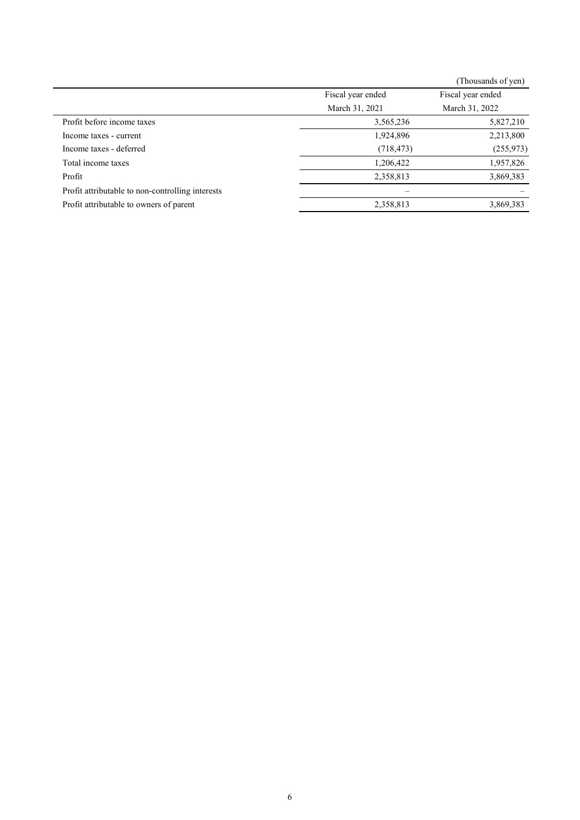|                                                  |                   | (Thousands of yen) |
|--------------------------------------------------|-------------------|--------------------|
|                                                  | Fiscal year ended | Fiscal year ended  |
|                                                  | March 31, 2021    | March 31, 2022     |
| Profit before income taxes                       | 3,565,236         | 5,827,210          |
| Income taxes - current                           | 1,924,896         | 2,213,800          |
| Income taxes - deferred                          | (718, 473)        | (255, 973)         |
| Total income taxes                               | 1,206,422         | 1,957,826          |
| Profit                                           | 2,358,813         | 3,869,383          |
| Profit attributable to non-controlling interests |                   |                    |
| Profit attributable to owners of parent          | 2,358,813         | 3,869,383          |
|                                                  |                   |                    |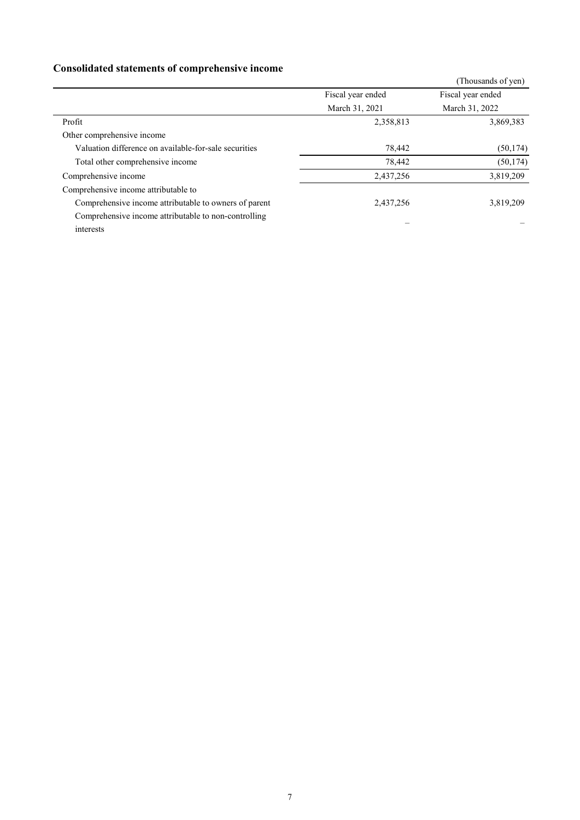## **Consolidated statements of comprehensive income**

| <u>consoliumou sunoinono or comprenente income</u>    |                   |                    |
|-------------------------------------------------------|-------------------|--------------------|
|                                                       |                   | (Thousands of yen) |
|                                                       | Fiscal year ended | Fiscal year ended  |
|                                                       | March 31, 2021    | March 31, 2022     |
| Profit                                                | 2,358,813         | 3,869,383          |
| Other comprehensive income                            |                   |                    |
| Valuation difference on available-for-sale securities | 78,442            | (50, 174)          |
| Total other comprehensive income                      | 78,442            | (50, 174)          |
| Comprehensive income                                  | 2,437,256         | 3,819,209          |
| Comprehensive income attributable to                  |                   |                    |
| Comprehensive income attributable to owners of parent | 2,437,256         | 3,819,209          |
| Comprehensive income attributable to non-controlling  |                   |                    |
| interests                                             |                   |                    |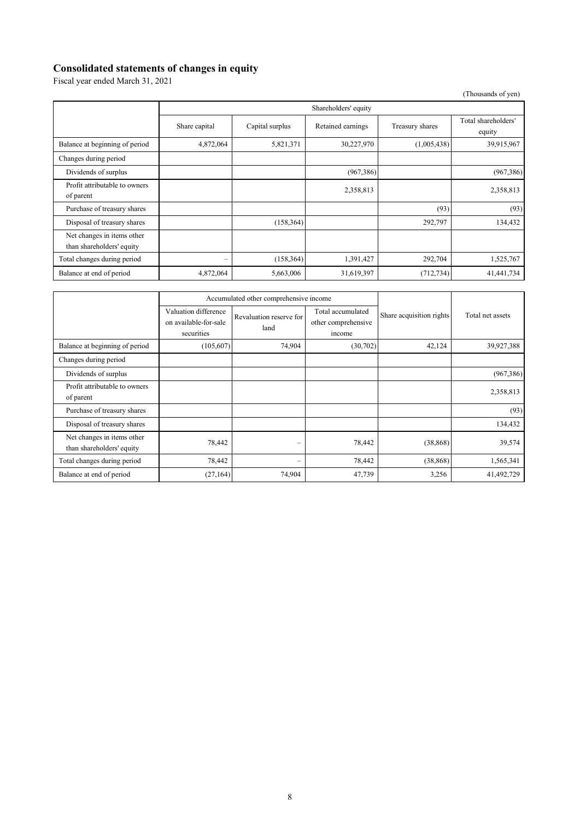#### **Consolidated statements of changes in equity**

Fiscal year ended March 31, 2021

| (Thousands of yen)                                      |                   |                      |                   |                 |                               |
|---------------------------------------------------------|-------------------|----------------------|-------------------|-----------------|-------------------------------|
|                                                         |                   | Shareholders' equity |                   |                 |                               |
|                                                         | Share capital     | Capital surplus      | Retained earnings | Treasury shares | Total shareholders'<br>equity |
| Balance at beginning of period                          | 4,872,064         | 5,821,371            | 30,227,970        | (1,005,438)     | 39,915,967                    |
| Changes during period                                   |                   |                      |                   |                 |                               |
| Dividends of surplus                                    |                   |                      | (967, 386)        |                 | (967, 386)                    |
| Profit attributable to owners<br>of parent              |                   |                      | 2,358,813         |                 | 2,358,813                     |
| Purchase of treasury shares                             |                   |                      |                   | (93)            | (93)                          |
| Disposal of treasury shares                             |                   | (158, 364)           |                   | 292,797         | 134,432                       |
| Net changes in items other<br>than shareholders' equity |                   |                      |                   |                 |                               |
| Total changes during period                             | $\qquad \qquad =$ | (158, 364)           | 1,391,427         | 292,704         | 1,525,767                     |
| Balance at end of period                                | 4,872,064         | 5,663,006            | 31,619,397        | (712, 734)      | 41,441,734                    |

|                                                         |                                                             | Accumulated other comprehensive income |                                                    |                          |                  |
|---------------------------------------------------------|-------------------------------------------------------------|----------------------------------------|----------------------------------------------------|--------------------------|------------------|
|                                                         | Valuation difference<br>on available-for-sale<br>securities | Revaluation reserve for<br>land        | Total accumulated<br>other comprehensive<br>income | Share acquisition rights | Total net assets |
| Balance at beginning of period                          | (105,607)                                                   | 74,904                                 | (30,702)                                           | 42,124                   | 39,927,388       |
| Changes during period                                   |                                                             |                                        |                                                    |                          |                  |
| Dividends of surplus                                    |                                                             |                                        |                                                    |                          | (967, 386)       |
| Profit attributable to owners<br>of parent              |                                                             |                                        |                                                    |                          | 2,358,813        |
| Purchase of treasury shares                             |                                                             |                                        |                                                    |                          | (93)             |
| Disposal of treasury shares                             |                                                             |                                        |                                                    |                          | 134,432          |
| Net changes in items other<br>than shareholders' equity | 78,442                                                      | -                                      | 78,442                                             | (38, 868)                | 39,574           |
| Total changes during period                             | 78,442                                                      | -                                      | 78,442                                             | (38, 868)                | 1,565,341        |
| Balance at end of period                                | (27, 164)                                                   | 74,904                                 | 47,739                                             | 3,256                    | 41,492,729       |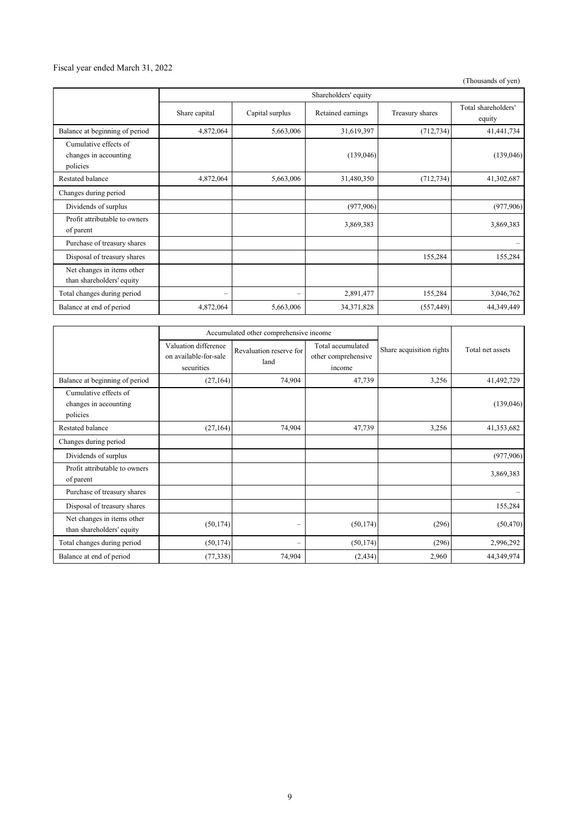#### Fiscal year ended March 31, 2022

(Thousands of yen)

|                                                            | Shareholders' equity |                 |                   |                 |                               |
|------------------------------------------------------------|----------------------|-----------------|-------------------|-----------------|-------------------------------|
|                                                            | Share capital        | Capital surplus | Retained earnings | Treasury shares | Total shareholders'<br>equity |
| Balance at beginning of period                             | 4,872,064            | 5,663,006       | 31,619,397        | (712, 734)      | 41,441,734                    |
| Cumulative effects of<br>changes in accounting<br>policies |                      |                 | (139,046)         |                 | (139,046)                     |
| Restated balance                                           | 4,872,064            | 5,663,006       | 31,480,350        | (712, 734)      | 41,302,687                    |
| Changes during period                                      |                      |                 |                   |                 |                               |
| Dividends of surplus                                       |                      |                 | (977,906)         |                 | (977,906)                     |
| Profit attributable to owners<br>of parent                 |                      |                 | 3,869,383         |                 | 3,869,383                     |
| Purchase of treasury shares                                |                      |                 |                   |                 |                               |
| Disposal of treasury shares                                |                      |                 |                   | 155,284         | 155,284                       |
| Net changes in items other<br>than shareholders' equity    |                      |                 |                   |                 |                               |
| Total changes during period                                | $\qquad \qquad -$    |                 | 2,891,477         | 155,284         | 3,046,762                     |
| Balance at end of period                                   | 4,872,064            | 5,663,006       | 34, 371, 828      | (557, 449)      | 44,349,449                    |

|                                                            |                                                             | Accumulated other comprehensive income |                                                    |                          |                  |
|------------------------------------------------------------|-------------------------------------------------------------|----------------------------------------|----------------------------------------------------|--------------------------|------------------|
|                                                            | Valuation difference<br>on available-for-sale<br>securities | Revaluation reserve for<br>land        | Total accumulated<br>other comprehensive<br>income | Share acquisition rights | Total net assets |
| Balance at beginning of period                             | (27, 164)                                                   | 74,904                                 | 47,739                                             | 3,256                    | 41,492,729       |
| Cumulative effects of<br>changes in accounting<br>policies |                                                             |                                        |                                                    |                          | (139,046)        |
| Restated balance                                           | (27, 164)                                                   | 74,904                                 | 47,739                                             | 3,256                    | 41,353,682       |
| Changes during period                                      |                                                             |                                        |                                                    |                          |                  |
| Dividends of surplus                                       |                                                             |                                        |                                                    |                          | (977, 906)       |
| Profit attributable to owners<br>of parent                 |                                                             |                                        |                                                    |                          | 3,869,383        |
| Purchase of treasury shares                                |                                                             |                                        |                                                    |                          |                  |
| Disposal of treasury shares                                |                                                             |                                        |                                                    |                          | 155,284          |
| Net changes in items other<br>than shareholders' equity    | (50, 174)                                                   | $\overline{\phantom{0}}$               | (50, 174)                                          | (296)                    | (50, 470)        |
| Total changes during period                                | (50, 174)                                                   | $\overline{\phantom{0}}$               | (50, 174)                                          | (296)                    | 2,996,292        |
| Balance at end of period                                   | (77, 338)                                                   | 74,904                                 | (2, 434)                                           | 2,960                    | 44,349,974       |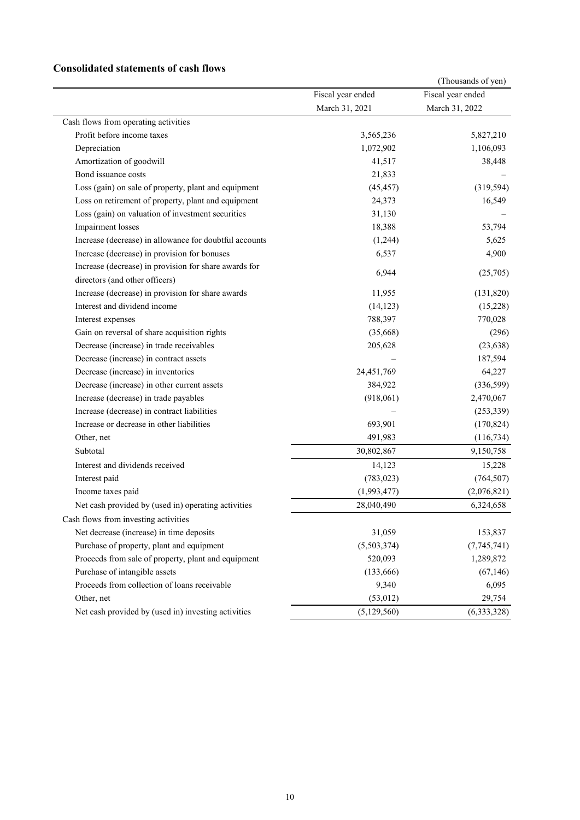#### **Consolidated statements of cash flows**

|                                                        |                   | (Thousands of yen) |
|--------------------------------------------------------|-------------------|--------------------|
|                                                        | Fiscal year ended | Fiscal year ended  |
|                                                        | March 31, 2021    | March 31, 2022     |
| Cash flows from operating activities                   |                   |                    |
| Profit before income taxes                             | 3,565,236         | 5,827,210          |
| Depreciation                                           | 1,072,902         | 1,106,093          |
| Amortization of goodwill                               | 41,517            | 38,448             |
| Bond issuance costs                                    | 21,833            |                    |
| Loss (gain) on sale of property, plant and equipment   | (45, 457)         | (319, 594)         |
| Loss on retirement of property, plant and equipment    | 24,373            | 16,549             |
| Loss (gain) on valuation of investment securities      | 31,130            |                    |
| Impairment losses                                      | 18,388            | 53,794             |
| Increase (decrease) in allowance for doubtful accounts | (1,244)           | 5,625              |
| Increase (decrease) in provision for bonuses           | 6,537             | 4,900              |
| Increase (decrease) in provision for share awards for  | 6,944             |                    |
| directors (and other officers)                         |                   | (25,705)           |
| Increase (decrease) in provision for share awards      | 11,955            | (131, 820)         |
| Interest and dividend income                           | (14, 123)         | (15,228)           |
| Interest expenses                                      | 788,397           | 770,028            |
| Gain on reversal of share acquisition rights           | (35,668)          | (296)              |
| Decrease (increase) in trade receivables               | 205,628           | (23, 638)          |
| Decrease (increase) in contract assets                 |                   | 187,594            |
| Decrease (increase) in inventories                     | 24,451,769        | 64,227             |
| Decrease (increase) in other current assets            | 384,922           | (336,599)          |
| Increase (decrease) in trade payables                  | (918,061)         | 2,470,067          |
| Increase (decrease) in contract liabilities            |                   | (253, 339)         |
| Increase or decrease in other liabilities              | 693,901           | (170, 824)         |
| Other, net                                             | 491,983           | (116, 734)         |
| Subtotal                                               | 30,802,867        | 9,150,758          |
| Interest and dividends received                        | 14,123            | 15,228             |
| Interest paid                                          | (783, 023)        | (764, 507)         |
| Income taxes paid                                      | (1,993,477)       | (2,076,821)        |
| Net cash provided by (used in) operating activities    | 28,040,490        | 6,324,658          |
| Cash flows from investing activities                   |                   |                    |
| Net decrease (increase) in time deposits               | 31,059            | 153,837            |
| Purchase of property, plant and equipment              | (5,503,374)       | (7,745,741)        |
| Proceeds from sale of property, plant and equipment    | 520,093           | 1,289,872          |
| Purchase of intangible assets                          | (133, 666)        | (67, 146)          |
| Proceeds from collection of loans receivable           | 9,340             | 6,095              |
| Other, net                                             | (53, 012)         | 29,754             |
| Net cash provided by (used in) investing activities    | (5, 129, 560)     | (6, 333, 328)      |